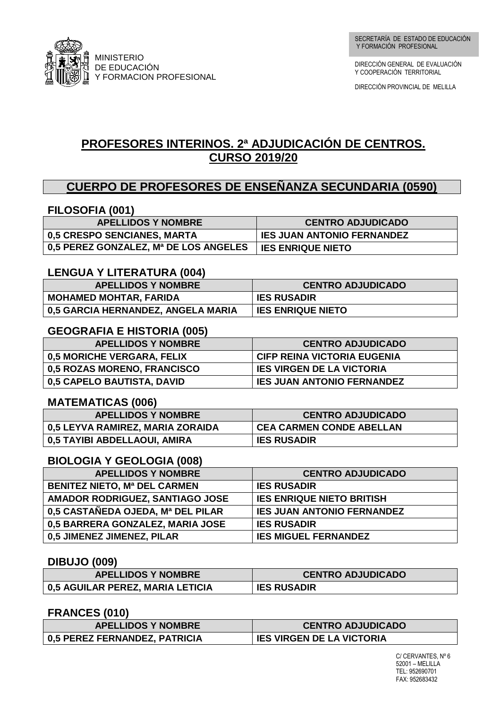

DIRECCIÓN GENERAL DE EVALUACIÓN Y COOPERACIÓN TERRITORIAL

DIRECCIÓN PROVINCIAL DE MELILLA

# **PROFESORES INTERINOS. 2ª ADJUDICACIÓN DE CENTROS. CURSO 2019/20**

### **CUERPO DE PROFESORES DE ENSEÑANZA SECUNDARIA (0590)**

#### **FILOSOFIA (001)**

| <b>APELLIDOS Y NOMBRE</b>             | <b>CENTRO ADJUDICADO</b>          |
|---------------------------------------|-----------------------------------|
| 0,5 CRESPO SENCIANES, MARTA           | <b>IES JUAN ANTONIO FERNANDEZ</b> |
| 0,5 PEREZ GONZALEZ, Mª DE LOS ANGELES | <b>IES ENRIQUE NIETO</b>          |

#### **LENGUA Y LITERATURA (004)**

| <b>APELLIDOS Y NOMBRE</b>          | <b>CENTRO ADJUDICADO</b> |
|------------------------------------|--------------------------|
| <b>MOHAMED MOHTAR, FARIDA</b>      | <b>IES RUSADIR</b>       |
| 0,5 GARCIA HERNANDEZ, ANGELA MARIA | <b>IES ENRIQUE NIETO</b> |

#### **GEOGRAFIA E HISTORIA (005)**

| <b>APELLIDOS Y NOMBRE</b>   | <b>CENTRO ADJUDICADO</b>          |
|-----------------------------|-----------------------------------|
| 0,5 MORICHE VERGARA, FELIX  | CIFP REINA VICTORIA EUGENIA       |
| 0,5 ROZAS MORENO, FRANCISCO | <b>IES VIRGEN DE LA VICTORIA</b>  |
| 0,5 CAPELO BAUTISTA, DAVID  | <b>IES JUAN ANTONIO FERNANDEZ</b> |

#### **MATEMATICAS (006)**

| <b>APELLIDOS Y NOMBRE</b>        | <b>CENTRO ADJUDICADO</b>        |
|----------------------------------|---------------------------------|
| 0,5 LEYVA RAMIREZ, MARIA ZORAIDA | <b>CEA CARMEN CONDE ABELLAN</b> |
| 0,5 TAYIBI ABDELLAOUI, AMIRA     | <b>IES RUSADIR</b>              |

#### **BIOLOGIA Y GEOLOGIA (008)**

| <b>APELLIDOS Y NOMBRE</b>           | <b>CENTRO ADJUDICADO</b>          |
|-------------------------------------|-----------------------------------|
| <b>BENITEZ NIETO, Mª DEL CARMEN</b> | <b>IES RUSADIR</b>                |
| AMADOR RODRIGUEZ, SANTIAGO JOSE     | <b>IES ENRIQUE NIETO BRITISH</b>  |
| 0.5 CASTAÑEDA OJEDA, Mª DEL PILAR   | <b>IES JUAN ANTONIO FERNANDEZ</b> |
| 0,5 BARRERA GONZALEZ, MARIA JOSE    | <b>IES RUSADIR</b>                |
| 0,5 JIMENEZ JIMENEZ, PILAR          | <b>IES MIGUEL FERNANDEZ</b>       |

#### **DIBUJO (009)**

| <b>APELLIDOS Y NOMBRE</b>        | <b>CENTRO ADJUDICADO</b> |
|----------------------------------|--------------------------|
| 0,5 AGUILAR PEREZ, MARIA LETICIA | <b>IES RUSADIR</b>       |

#### **FRANCES (010)**

| <b>APELLIDOS Y NOMBRE</b>     | <b>CENTRO ADJUDICADO</b>         |
|-------------------------------|----------------------------------|
| 0,5 PEREZ FERNANDEZ, PATRICIA | <b>IES VIRGEN DE LA VICTORIA</b> |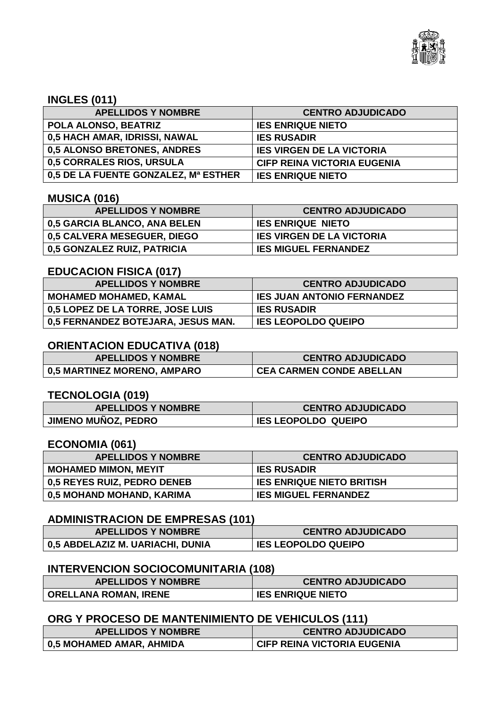

#### **INGLES (011)**

| <b>APELLIDOS Y NOMBRE</b>            | <b>CENTRO ADJUDICADO</b>           |
|--------------------------------------|------------------------------------|
| POLA ALONSO, BEATRIZ                 | <b>IES ENRIQUE NIETO</b>           |
| 0,5 HACH AMAR, IDRISSI, NAWAL        | <b>IES RUSADIR</b>                 |
| 0,5 ALONSO BRETONES, ANDRES          | <b>IES VIRGEN DE LA VICTORIA</b>   |
| 0,5 CORRALES RIOS, URSULA            | <b>CIFP REINA VICTORIA EUGENIA</b> |
| 0,5 DE LA FUENTE GONZALEZ, Mª ESTHER | <b>IES ENRIQUE NIETO</b>           |

#### **MUSICA (016)**

| <b>APELLIDOS Y NOMBRE</b>    | <b>CENTRO ADJUDICADO</b>         |
|------------------------------|----------------------------------|
| 0,5 GARCIA BLANCO, ANA BELEN | <b>IES ENRIQUE NIETO</b>         |
| 0,5 CALVERA MESEGUER, DIEGO  | <b>IES VIRGEN DE LA VICTORIA</b> |
| 0,5 GONZALEZ RUIZ, PATRICIA  | <b>IES MIGUEL FERNANDEZ</b>      |

#### **EDUCACION FISICA (017)**

| <b>APELLIDOS Y NOMBRE</b>          | <b>CENTRO ADJUDICADO</b>          |
|------------------------------------|-----------------------------------|
| <b>MOHAMED MOHAMED, KAMAL</b>      | <b>IES JUAN ANTONIO FERNANDEZ</b> |
| 0,5 LOPEZ DE LA TORRE, JOSE LUIS   | <b>IES RUSADIR</b>                |
| 0,5 FERNANDEZ BOTEJARA, JESUS MAN. | <b>IES LEOPOLDO QUEIPO</b>        |

#### **ORIENTACION EDUCATIVA (018)**

| <b>APELLIDOS Y NOMBRE</b>   | <b>CENTRO ADJUDICADO</b>        |
|-----------------------------|---------------------------------|
| 0,5 MARTINEZ MORENO, AMPARO | <b>CEA CARMEN CONDE ABELLAN</b> |

#### **TECNOLOGIA (019)**

| <b>APELLIDOS Y NOMBRE</b>  | <b>CENTRO ADJUDICADO</b>   |
|----------------------------|----------------------------|
| <b>JIMENO MUÑOZ, PEDRO</b> | <b>IES LEOPOLDO QUEIPO</b> |

#### **ECONOMIA (061)**

| <b>APELLIDOS Y NOMBRE</b>   | <b>CENTRO ADJUDICADO</b>         |
|-----------------------------|----------------------------------|
| <b>MOHAMED MIMON, MEYIT</b> | <b>IES RUSADIR</b>               |
| 0,5 REYES RUIZ, PEDRO DENEB | <b>IES ENRIQUE NIETO BRITISH</b> |
| 0,5 MOHAND MOHAND, KARIMA   | <b>IES MIGUEL FERNANDEZ</b>      |

#### **ADMINISTRACION DE EMPRESAS (101)**

| <b>APELLIDOS Y NOMBRE</b>        | <b>CENTRO ADJUDICADO</b>   |
|----------------------------------|----------------------------|
| 0,5 ABDELAZIZ M. UARIACHI, DUNIA | <b>IES LEOPOLDO QUEIPO</b> |

#### **INTERVENCION SOCIOCOMUNITARIA (108)**

| <b>APELLIDOS Y NOMBRE</b>    | <b>CENTRO ADJUDICADO</b> |
|------------------------------|--------------------------|
| <b>ORELLANA ROMAN, IRENE</b> | <b>IES ENRIQUE NIETO</b> |

#### **ORG Y PROCESO DE MANTENIMIENTO DE VEHICULOS (111)**

| <b>APELLIDOS Y NOMBRE</b> | <b>CENTRO ADJUDICADO</b>           |
|---------------------------|------------------------------------|
| 0,5 MOHAMED AMAR, AHMIDA  | <b>CIFP REINA VICTORIA EUGENIA</b> |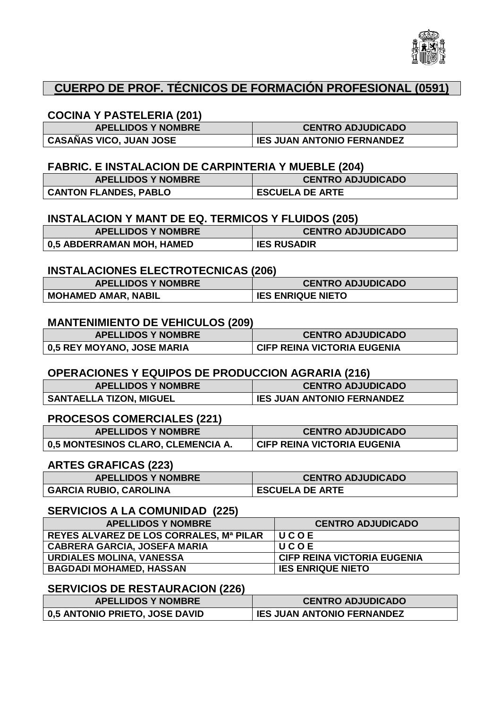

### **CUERPO DE PROF. TÉCNICOS DE FORMACIÓN PROFESIONAL (0591)**

#### **COCINA Y PASTELERIA (201)**

| <b>APELLIDOS Y NOMBRE</b>      | <b>CENTRO ADJUDICADO</b>          |
|--------------------------------|-----------------------------------|
| <b>CASAÑAS VICO, JUAN JOSE</b> | <b>IES JUAN ANTONIO FERNANDEZ</b> |

#### **FABRIC. E INSTALACION DE CARPINTERIA Y MUEBLE (204)**

| <b>APELLIDOS Y NOMBRE</b>    | <b>CENTRO ADJUDICADO</b> |
|------------------------------|--------------------------|
| <b>CANTON FLANDES, PABLO</b> | <b>ESCUELA DE ARTE</b>   |

#### **INSTALACION Y MANT DE EQ. TERMICOS Y FLUIDOS (205)**

| <b>APELLIDOS Y NOMBRE</b> | <b>CENTRO ADJUDICADO</b> |
|---------------------------|--------------------------|
| 0,5 ABDERRAMAN MOH, HAMED | <b>IES RUSADIR</b>       |

#### **INSTALACIONES ELECTROTECNICAS (206)**

| <b>APELLIDOS Y NOMBRE</b>  | <b>CENTRO ADJUDICADO</b> |
|----------------------------|--------------------------|
| <b>MOHAMED AMAR, NABIL</b> | <b>IES ENRIQUE NIETO</b> |

#### **MANTENIMIENTO DE VEHICULOS (209)**

| <b>APELLIDOS Y NOMBRE</b>  | <b>CENTRO ADJUDICADO</b>           |
|----------------------------|------------------------------------|
| 0,5 REY MOYANO, JOSE MARIA | <b>CIFP REINA VICTORIA EUGENIA</b> |

#### **OPERACIONES Y EQUIPOS DE PRODUCCION AGRARIA (216)**

| <b>APELLIDOS Y NOMBRE</b>      | <b>CENTRO ADJUDICADO</b>          |
|--------------------------------|-----------------------------------|
| <b>SANTAELLA TIZON, MIGUEL</b> | <b>IES JUAN ANTONIO FERNANDEZ</b> |

#### **PROCESOS COMERCIALES (221)**

| <b>APELLIDOS Y NOMBRE</b>          | <b>CENTRO ADJUDICADO</b>           |
|------------------------------------|------------------------------------|
| 0,5 MONTESINOS CLARO, CLEMENCIA A. | <b>CIFP REINA VICTORIA EUGENIA</b> |

#### **ARTES GRAFICAS (223)**

| <b>APELLIDOS Y NOMBRE</b>     | <b>CENTRO ADJUDICADO</b> |
|-------------------------------|--------------------------|
| <b>GARCIA RUBIO, CAROLINA</b> | <b>ESCUELA DE ARTE</b>   |

#### **SERVICIOS A LA COMUNIDAD (225)**

| <b>APELLIDOS Y NOMBRE</b>               | <b>CENTRO ADJUDICADO</b>    |
|-----------------------------------------|-----------------------------|
| REYES ALVAREZ DE LOS CORRALES, Mª PILAR | UCOE                        |
| <b>CABRERA GARCIA, JOSEFA MARIA</b>     | UCOE                        |
| <b>URDIALES MOLINA, VANESSA</b>         | CIFP REINA VICTORIA EUGENIA |
| <b>BAGDADI MOHAMED, HASSAN</b>          | <b>IES ENRIQUE NIETO</b>    |

#### **SERVICIOS DE RESTAURACION (226)**

| <b>APELLIDOS Y NOMBRE</b>      | <b>CENTRO ADJUDICADO</b>          |
|--------------------------------|-----------------------------------|
| 0,5 ANTONIO PRIETO, JOSE DAVID | <b>IES JUAN ANTONIO FERNANDEZ</b> |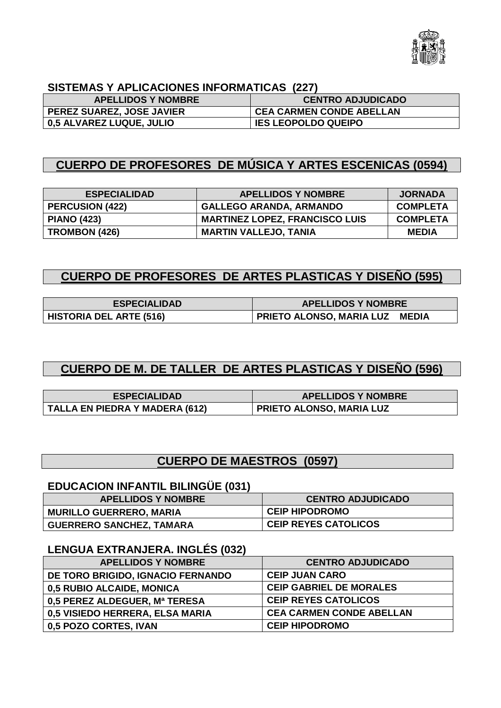

### **SISTEMAS Y APLICACIONES INFORMATICAS (227)**

| <b>APELLIDOS Y NOMBRE</b>        | <b>CENTRO ADJUDICADO</b>        |
|----------------------------------|---------------------------------|
| <b>PEREZ SUAREZ, JOSE JAVIER</b> | <b>CEA CARMEN CONDE ABELLAN</b> |
| <b>0,5 ALVAREZ LUQUE, JULIO</b>  | <b>IES LEOPOLDO QUEIPO</b>      |

### **CUERPO DE PROFESORES DE MÚSICA Y ARTES ESCENICAS (0594)**

| <b>ESPECIALIDAD</b>    | <b>APELLIDOS Y NOMBRE</b>             | <b>JORNADA</b>  |
|------------------------|---------------------------------------|-----------------|
| <b>PERCUSION (422)</b> | <b>GALLEGO ARANDA, ARMANDO</b>        | <b>COMPLETA</b> |
| <b>PIANO (423)</b>     | <b>MARTINEZ LOPEZ, FRANCISCO LUIS</b> | <b>COMPLETA</b> |
| TROMBON (426)          | <b>MARTIN VALLEJO, TANIA</b>          | <b>MEDIA</b>    |

### **CUERPO DE PROFESORES DE ARTES PLASTICAS Y DISEÑO (595)**

| <b>ESPECIALIDAD</b>            | <b>APELLIDOS Y NOMBRE</b>                       |
|--------------------------------|-------------------------------------------------|
| <b>HISTORIA DEL ARTE (516)</b> | <b>PRIETO ALONSO, MARIA LUZ</b><br><b>MEDIA</b> |

# **CUERPO DE M. DE TALLER DE ARTES PLASTICAS Y DISEÑO (596)**

| <b>ESPECIALIDAD</b>            | <b>APELLIDOS Y NOMBRE</b>       |
|--------------------------------|---------------------------------|
| TALLA EN PIEDRA Y MADERA (612) | <b>PRIETO ALONSO, MARIA LUZ</b> |

# **CUERPO DE MAESTROS (0597)**

### **EDUCACION INFANTIL BILINGÜE (031)**

| <b>APELLIDOS Y NOMBRE</b>       | <b>CENTRO ADJUDICADO</b>    |
|---------------------------------|-----------------------------|
| <b>MURILLO GUERRERO, MARIA</b>  | <b>CEIP HIPODROMO</b>       |
| <b>GUERRERO SANCHEZ, TAMARA</b> | <b>CEIP REYES CATOLICOS</b> |

### **LENGUA EXTRANJERA. INGLÉS (032)**

| <b>APELLIDOS Y NOMBRE</b>         | <b>CENTRO ADJUDICADO</b>        |
|-----------------------------------|---------------------------------|
| DE TORO BRIGIDO, IGNACIO FERNANDO | <b>CEIP JUAN CARO</b>           |
| 0,5 RUBIO ALCAIDE, MONICA         | <b>CEIP GABRIEL DE MORALES</b>  |
| 0,5 PEREZ ALDEGUER, Mª TERESA     | <b>CEIP REYES CATOLICOS</b>     |
| 0,5 VISIEDO HERRERA, ELSA MARIA   | <b>CEA CARMEN CONDE ABELLAN</b> |
| 0,5 POZO CORTES, IVAN             | <b>CEIP HIPODROMO</b>           |